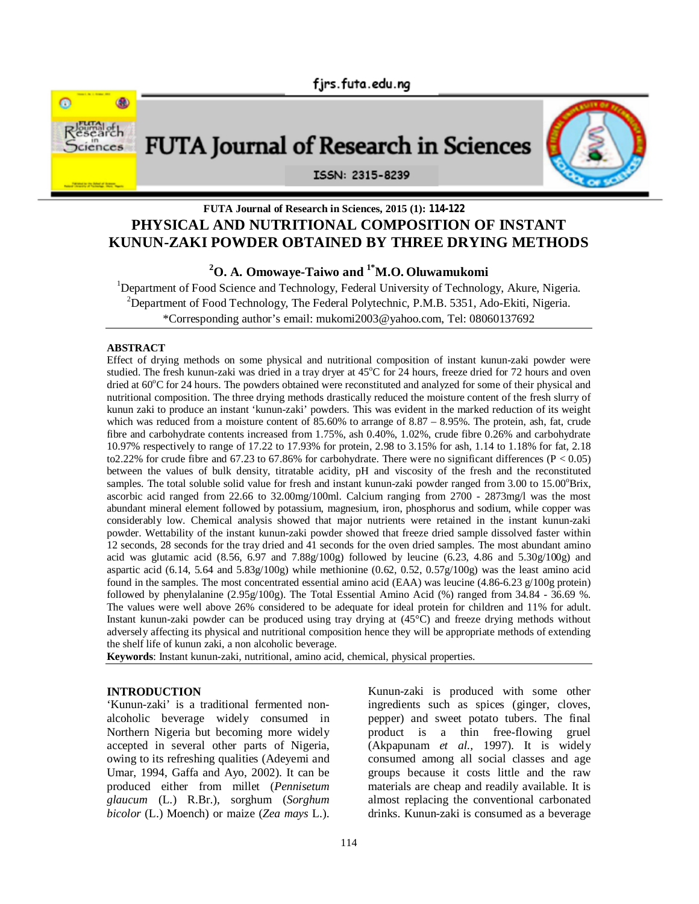

# **FUTA Journal of Research in Sciences, 2015 (1): 114-122 PHYSICAL AND NUTRITIONAL COMPOSITION OF INSTANT KUNUN-ZAKI POWDER OBTAINED BY THREE DRYING METHODS**

**<sup>2</sup>O. A. Omowaye-Taiwo and 1\*M.O. Oluwamukomi**

<sup>1</sup>Department of Food Science and Technology, Federal University of Technology, Akure, Nigeria. <sup>2</sup>Department of Food Technology, The Federal Polytechnic, P.M.B. 5351, Ado-Ekiti, Nigeria. \*Corresponding author's email: mukomi2003@yahoo.com, Tel: 08060137692

#### **ABSTRACT**

Effect of drying methods on some physical and nutritional composition of instant kunun-zaki powder were studied. The fresh kunun-zaki was dried in a tray dryer at  $45^{\circ}$ C for 24 hours, freeze dried for 72 hours and oven dried at 60°C for 24 hours. The powders obtained were reconstituted and analyzed for some of their physical and nutritional composition. The three drying methods drastically reduced the moisture content of the fresh slurry of kunun zaki to produce an instant 'kunun-zaki' powders. This was evident in the marked reduction of its weight which was reduced from a moisture content of  $85.60\%$  to arrange of  $8.87 - 8.95\%$ . The protein, ash, fat, crude fibre and carbohydrate contents increased from 1.75%, ash 0.40%, 1.02%, crude fibre 0.26% and carbohydrate 10.97% respectively to range of 17.22 to 17.93% for protein, 2.98 to 3.15% for ash, 1.14 to 1.18% for fat, 2.18 to2.22% for crude fibre and 67.23 to 67.86% for carbohydrate. There were no significant differences ( $P < 0.05$ ) between the values of bulk density, titratable acidity, pH and viscosity of the fresh and the reconstituted samples. The total soluble solid value for fresh and instant kunun-zaki powder ranged from 3.00 to 15.00°Brix, ascorbic acid ranged from 22.66 to 32.00mg/100ml. Calcium ranging from 2700 - 2873mg/l was the most abundant mineral element followed by potassium, magnesium, iron, phosphorus and sodium, while copper was considerably low. Chemical analysis showed that major nutrients were retained in the instant kunun-zaki powder. Wettability of the instant kunun-zaki powder showed that freeze dried sample dissolved faster within 12 seconds, 28 seconds for the tray dried and 41 seconds for the oven dried samples. The most abundant amino acid was glutamic acid  $(8.56, 6.97 \text{ and } 7.88g/100g)$  followed by leucine  $(6.23, 4.86 \text{ and } 5.30g/100g)$  and aspartic acid (6.14, 5.64 and 5.83g/100g) while methionine  $(0.62, 0.52, 0.57g/100g)$  was the least amino acid found in the samples. The most concentrated essential amino acid (EAA) was leucine (4.86-6.23 g/100g protein) followed by phenylalanine (2.95g/100g). The Total Essential Amino Acid (%) ranged from 34.84 - 36.69 %. The values were well above 26% considered to be adequate for ideal protein for children and 11% for adult. Instant kunun-zaki powder can be produced using tray drying at (45°C) and freeze drying methods without adversely affecting its physical and nutritional composition hence they will be appropriate methods of extending the shelf life of kunun zaki, a non alcoholic beverage.

**Keywords**: Instant kunun-zaki, nutritional, amino acid, chemical, physical properties.

### **INTRODUCTION**

'Kunun-zaki' is a traditional fermented nonalcoholic beverage widely consumed in Northern Nigeria but becoming more widely accepted in several other parts of Nigeria, owing to its refreshing qualities (Adeyemi and Umar, 1994, Gaffa and Ayo, 2002). It can be produced either from millet (*Pennisetum glaucum* (L.) R.Br.), sorghum (*Sorghum bicolor* (L.) Moench) or maize (*Zea mays* L.).

Kunun-zaki is produced with some other ingredients such as spices (ginger, cloves, pepper) and sweet potato tubers. The final product is a thin free-flowing gruel (Akpapunam *et al.,* 1997). It is widely consumed among all social classes and age groups because it costs little and the raw materials are cheap and readily available. It is almost replacing the conventional carbonated drinks. Kunun-zaki is consumed as a beverage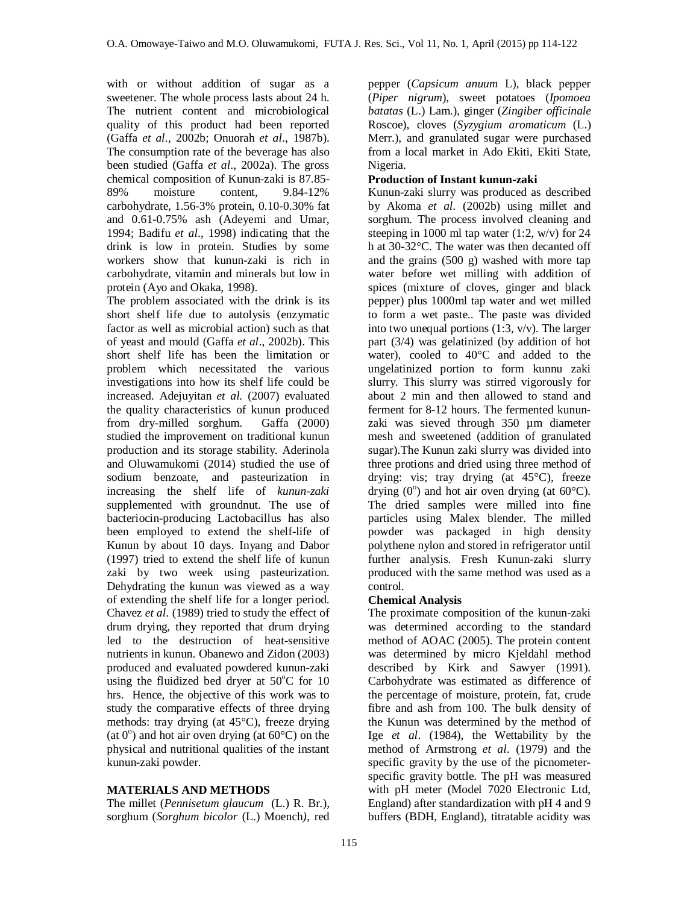with or without addition of sugar as a sweetener. The whole process lasts about 24 h. The nutrient content and microbiological quality of this product had been reported (Gaffa *et al*., 2002b; Onuorah *et al*., 1987b). The consumption rate of the beverage has also been studied (Gaffa *et al*., 2002a). The gross chemical composition of Kunun-zaki is 87.85- 89% moisture content, 9.84-12% carbohydrate, 1.56-3% protein, 0.10-0.30% fat and 0.61-0.75% ash (Adeyemi and Umar, 1994; Badifu *et al*., 1998) indicating that the drink is low in protein. Studies by some workers show that kunun-zaki is rich in carbohydrate, vitamin and minerals but low in protein (Ayo and Okaka, 1998).

The problem associated with the drink is its short shelf life due to autolysis (enzymatic factor as well as microbial action) such as that of yeast and mould (Gaffa *et al*., 2002b). This short shelf life has been the limitation or problem which necessitated the various investigations into how its shelf life could be increased. Adejuyitan *et al.* (2007) evaluated the quality characteristics of kunun produced<br>from dry-milled sorghum. Gaffa (2000) from dry-milled sorghum. studied the improvement on traditional kunun production and its storage stability. Aderinola and Oluwamukomi (2014) studied the use of sodium benzoate, and pasteurization in increasing the shelf life of *kunun-zaki*  supplemented with groundnut. The use of bacteriocin-producing Lactobacillus has also been employed to extend the shelf-life of Kunun by about 10 days. Inyang and Dabor (1997) tried to extend the shelf life of kunun zaki by two week using pasteurization. Dehydrating the kunun was viewed as a way of extending the shelf life for a longer period. Chavez *et al*. (1989) tried to study the effect of drum drying, they reported that drum drying led to the destruction of heat-sensitive nutrients in kunun. Obanewo and Zidon (2003) produced and evaluated powdered kunun-zaki using the fluidized bed dryer at  $50^{\circ}$ C for 10 hrs. Hence, the objective of this work was to study the comparative effects of three drying methods: tray drying (at 45°C), freeze drying (at  $0^\circ$ ) and hot air oven drying (at  $60^\circ$ C) on the physical and nutritional qualities of the instant kunun-zaki powder.

## **MATERIALS AND METHODS**

The millet (*Pennisetum glaucum* (L.) R. Br.), sorghum (*Sorghum bicolor* (L.) Moench*),* red pepper (*Capsicum anuum* L), black pepper (*Piper nigrum*), sweet potatoes (*Ipomoea batatas* (L.) Lam.), ginger (*Zingiber officinale* Roscoe), cloves (*Syzygium aromaticum* (L.) Merr.), and granulated sugar were purchased from a local market in Ado Ekiti, Ekiti State, Nigeria.

#### **Production of Instant kunun-zaki**

Kunun-zaki slurry was produced as described by Akoma *et al*. (2002b) using millet and sorghum. The process involved cleaning and steeping in 1000 ml tap water  $(1:2, w/v)$  for 24 h at 30-32°C. The water was then decanted off and the grains (500 g) washed with more tap water before wet milling with addition of spices (mixture of cloves, ginger and black pepper) plus 1000ml tap water and wet milled to form a wet paste.. The paste was divided into two unequal portions  $(1:3, v/v)$ . The larger part (3/4) was gelatinized (by addition of hot water), cooled to 40°C and added to the ungelatinized portion to form kunnu zaki slurry. This slurry was stirred vigorously for about 2 min and then allowed to stand and ferment for 8-12 hours. The fermented kununzaki was sieved through 350 µm diameter mesh and sweetened (addition of granulated sugar).The Kunun zaki slurry was divided into three protions and dried using three method of drying: vis; tray drying (at 45°C), freeze drying  $(0^{\circ})$  and hot air oven drying (at  $60^{\circ}$ C). The dried samples were milled into fine particles using Malex blender. The milled powder was packaged in high density polythene nylon and stored in refrigerator until further analysis. Fresh Kunun-zaki slurry produced with the same method was used as a control.

#### **Chemical Analysis**

The proximate composition of the kunun-zaki was determined according to the standard method of AOAC (2005). The protein content was determined by micro Kjeldahl method described by Kirk and Sawyer (1991). Carbohydrate was estimated as difference of the percentage of moisture, protein, fat, crude fibre and ash from 100. The bulk density of the Kunun was determined by the method of Ige *et al*. (1984), the Wettability by the method of Armstrong *et al*. (1979) and the specific gravity by the use of the picnometerspecific gravity bottle. The pH was measured with pH meter (Model 7020 Electronic Ltd, England) after standardization with pH 4 and 9 buffers (BDH, England), titratable acidity was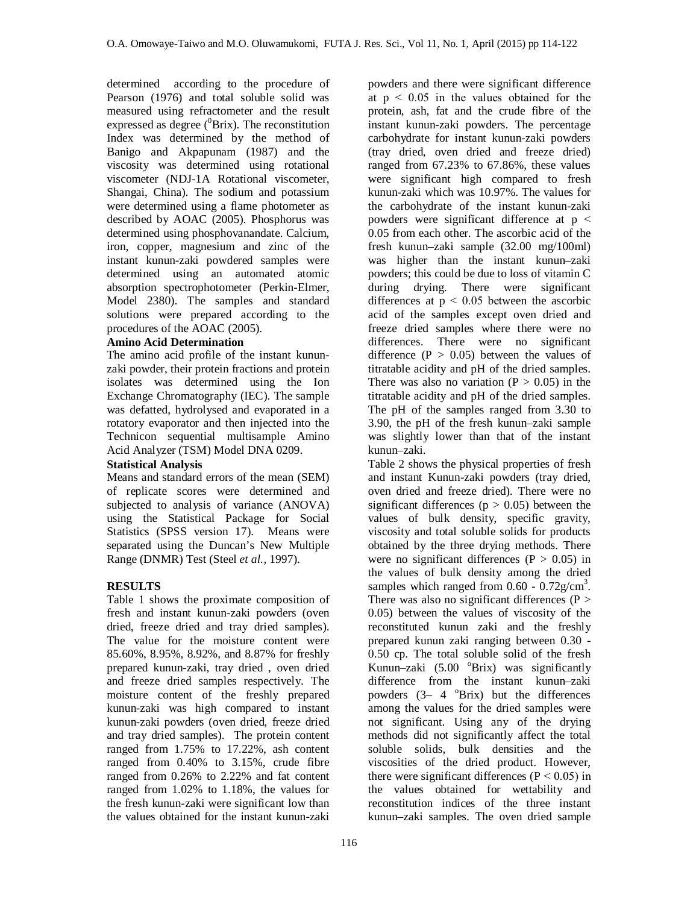determined according to the procedure of Pearson (1976) and total soluble solid was measured using refractometer and the result expressed as degree  $(^0\text{Brix})$ . The reconstitution Index was determined by the method of Banigo and Akpapunam (1987) and the viscosity was determined using rotational viscometer (NDJ-1A Rotational viscometer, Shangai, China). The sodium and potassium were determined using a flame photometer as described by AOAC (2005). Phosphorus was determined using phosphovanandate. Calcium, iron, copper, magnesium and zinc of the instant kunun-zaki powdered samples were determined using an automated atomic absorption spectrophotometer (Perkin-Elmer, Model 2380). The samples and standard solutions were prepared according to the procedures of the AOAC (2005).

#### **Amino Acid Determination**

The amino acid profile of the instant kununzaki powder, their protein fractions and protein isolates was determined using the Ion Exchange Chromatography (IEC). The sample was defatted, hydrolysed and evaporated in a rotatory evaporator and then injected into the Technicon sequential multisample Amino Acid Analyzer (TSM) Model DNA 0209.

## **Statistical Analysis**

Means and standard errors of the mean (SEM) of replicate scores were determined and subjected to analysis of variance (ANOVA) using the Statistical Package for Social Statistics (SPSS version 17). Means were separated using the Duncan's New Multiple Range (DNMR) Test (Steel *et al.,* 1997).

## **RESULTS**

Table 1 shows the proximate composition of fresh and instant kunun-zaki powders (oven dried, freeze dried and tray dried samples). The value for the moisture content were 85.60%, 8.95%, 8.92%, and 8.87% for freshly prepared kunun-zaki, tray dried , oven dried and freeze dried samples respectively. The moisture content of the freshly prepared kunun-zaki was high compared to instant kunun-zaki powders (oven dried, freeze dried and tray dried samples). The protein content ranged from 1.75% to 17.22%, ash content ranged from 0.40% to 3.15%, crude fibre ranged from 0.26% to 2.22% and fat content ranged from 1.02% to 1.18%, the values for the fresh kunun-zaki were significant low than the values obtained for the instant kunun-zaki

powders and there were significant difference at  $p \leq 0.05$  in the values obtained for the protein, ash, fat and the crude fibre of the instant kunun-zaki powders. The percentage carbohydrate for instant kunun-zaki powders (tray dried, oven dried and freeze dried) ranged from 67.23% to 67.86%, these values were significant high compared to fresh kunun-zaki which was 10.97%. The values for the carbohydrate of the instant kunun-zaki powders were significant difference at  $p <$ 0.05 from each other. The ascorbic acid of the fresh kunun–zaki sample (32.00 mg/100ml) was higher than the instant kunun–zaki powders; this could be due to loss of vitamin C during drying. There were significant differences at  $p < 0.05$  between the ascorbic acid of the samples except oven dried and freeze dried samples where there were no differences. There were no significant difference ( $P > 0.05$ ) between the values of titratable acidity and pH of the dried samples. There was also no variation  $(P > 0.05)$  in the titratable acidity and pH of the dried samples. The pH of the samples ranged from 3.30 to 3.90, the pH of the fresh kunun–zaki sample was slightly lower than that of the instant kunun–zaki.

Table 2 shows the physical properties of fresh and instant Kunun-zaki powders (tray dried, oven dried and freeze dried). There were no significant differences ( $p > 0.05$ ) between the values of bulk density, specific gravity, viscosity and total soluble solids for products obtained by the three drying methods. There were no significant differences ( $P > 0.05$ ) in the values of bulk density among the dried samples which ranged from  $0.60 - 0.72$ g/cm<sup>3</sup>. There was also no significant differences ( $P >$ 0.05) between the values of viscosity of the reconstituted kunun zaki and the freshly prepared kunun zaki ranging between 0.30 - 0.50 cp. The total soluble solid of the fresh Kunun–zaki  $(5.00<sup>o</sup>Brix)$  was significantly difference from the instant kunun–zaki powders  $(3 - 4)$  <sup>o</sup>Brix) but the differences among the values for the dried samples were not significant. Using any of the drying methods did not significantly affect the total soluble solids, bulk densities and the viscosities of the dried product. However, there were significant differences ( $P < 0.05$ ) in the values obtained for wettability and reconstitution indices of the three instant kunun–zaki samples. The oven dried sample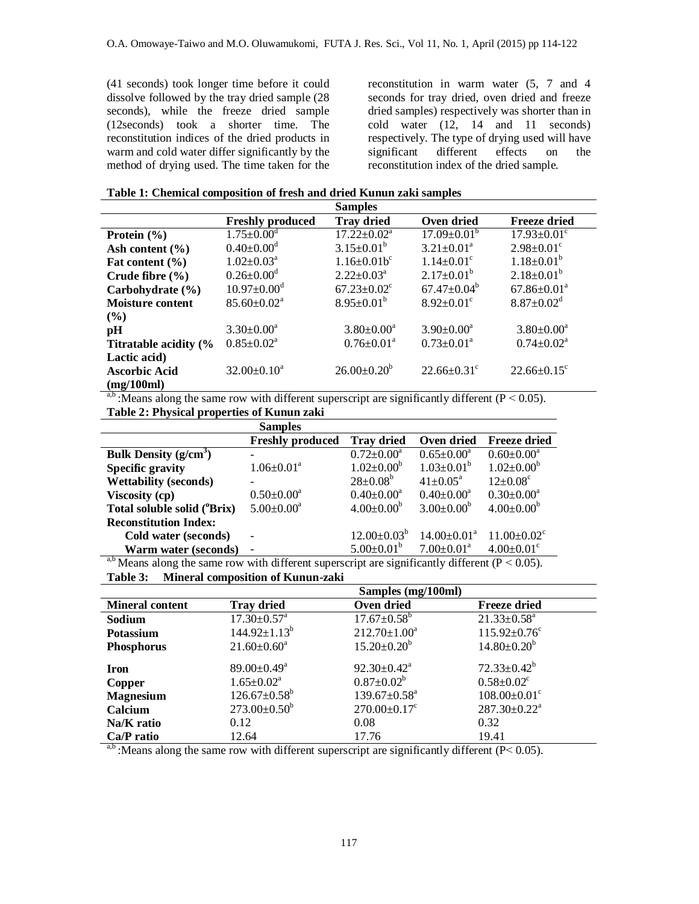(41 seconds) took longer time before it could dissolve followed by the tray dried sample (28 seconds), while the freeze dried sample (12seconds) took a shorter time. The reconstitution indices of the dried products in warm and cold water differ significantly by the method of drying used. The time taken for the

reconstitution in warm water (5, 7 and 4 seconds for tray dried, oven dried and freeze dried samples) respectively was shorter than in cold water (12, 14 and 11 seconds) respectively. The type of drying used will have<br>significant different effects on the significant different effects on the reconstitution index of the dried sample.

|  | Table 1: Chemical composition of fresh and dried Kunun zaki samples |  |  |  |
|--|---------------------------------------------------------------------|--|--|--|
|  |                                                                     |  |  |  |

|                                                                                                                                              |                              | Samples                       |                               |                               |  |
|----------------------------------------------------------------------------------------------------------------------------------------------|------------------------------|-------------------------------|-------------------------------|-------------------------------|--|
|                                                                                                                                              | <b>Freshly produced</b>      | <b>Tray dried</b>             | Oven dried                    | <b>Freeze dried</b>           |  |
| Protein $(\frac{6}{6})$                                                                                                                      | $1.75 \pm 0.00$ <sup>d</sup> | $17.22 \pm 0.02^a$            | $17.09 \pm 0.01^{\circ}$      | $17.93 \pm 0.01^{\circ}$      |  |
| Ash content $(\% )$                                                                                                                          | $0.40 \pm 0.00$ <sup>d</sup> | $3.15 \pm 0.01^b$             | $3.21 \pm 0.01^a$             | $2.98 \pm 0.01$ <sup>c</sup>  |  |
| Fat content $(\% )$                                                                                                                          | $1.02 \pm 0.03^a$            | $1.16 \pm 0.01 b^c$           | $1.14 \pm 0.01$ <sup>c</sup>  | $1.18 \pm 0.01^b$             |  |
| Crude fibre $(\% )$                                                                                                                          | $0.26 \pm 0.00^{\rm d}$      | $2.22 \pm 0.03^{\text{a}}$    | $2.17 \pm 0.01^b$             | $2.18 \pm 0.01^b$             |  |
| Carbohydrate (%)                                                                                                                             | $10.97 \pm 0.00^{\circ}$     | $67.23 \pm 0.02$ <sup>c</sup> | $67.47 \pm 0.04^{\circ}$      | $67.86 \pm 0.01^a$            |  |
| <b>Moisture content</b>                                                                                                                      | $85.60 \pm 0.02^{\text{a}}$  | $8.95 \pm 0.01^b$             | $8.92 \pm 0.01$ <sup>c</sup>  | $8.87 \pm 0.02$ <sup>d</sup>  |  |
| (%)                                                                                                                                          |                              |                               |                               |                               |  |
| pН                                                                                                                                           | $3.30 \pm 0.00^a$            | $3.80 \pm 0.00^a$             | $3.90 \pm 0.00^a$             | $3.80 \pm 0.00^a$             |  |
| Titratable acidity (%                                                                                                                        | $0.85 \pm 0.02^a$            | $0.76 \pm 0.01$ <sup>a</sup>  | $0.73 \pm 0.01^a$             | $0.74 \pm 0.02^a$             |  |
| Lactic acid)                                                                                                                                 |                              |                               |                               |                               |  |
| <b>Ascorbic Acid</b>                                                                                                                         | $32.00 \pm 0.10^a$           | $26.00 \pm 0.20^b$            | $22.66 \pm 0.31$ <sup>c</sup> | $22.66 \pm 0.15$ <sup>c</sup> |  |
| (mg/100ml)                                                                                                                                   |                              |                               |                               |                               |  |
| $\frac{ab \cdot \text{Mense}}{ab \cdot \text{Mense}}$ along the same row with different superscript are significantly different $(D < 0.05)$ |                              |                               |                               |                               |  |

:Means along the same row with different superscript are significantly different ( $P < 0.05$ ). **Table 2: Physical properties of Kunun zaki**

|                              | <b>Samples</b>           |                    |                                                                                                                                                                                                                                                                                                                                    |                               |
|------------------------------|--------------------------|--------------------|------------------------------------------------------------------------------------------------------------------------------------------------------------------------------------------------------------------------------------------------------------------------------------------------------------------------------------|-------------------------------|
|                              | <b>Freshly produced</b>  | <b>Tray dried</b>  | Oven dried                                                                                                                                                                                                                                                                                                                         | <b>Freeze dried</b>           |
| Bulk Density $(g/cm^3)$      |                          | $0.72 \pm 0.00^a$  | $0.65 \pm 0.00^a$                                                                                                                                                                                                                                                                                                                  | $0.60 \pm 0.00^a$             |
| <b>Specific gravity</b>      | $1.06 \pm 0.01^a$        | $1.02 \pm 0.00^b$  | $1.03 \pm 0.01^b$                                                                                                                                                                                                                                                                                                                  | $1.02 \pm 0.00^b$             |
| <b>Wettability (seconds)</b> | $\overline{\phantom{0}}$ | $28 \pm 0.08^b$    | $41 \pm 0.05^{\text{a}}$                                                                                                                                                                                                                                                                                                           | $12 \pm 0.08$ <sup>c</sup>    |
| <b>Viscosity (cp)</b>        | $0.50 \pm 0.00^a$        | $0.40 \pm 0.00^a$  | $0.40 \pm 0.00^a$                                                                                                                                                                                                                                                                                                                  | $0.30 \pm 0.00^a$             |
| Total soluble solid ('Brix)  | $5.00 \pm 0.00^a$        | $4.00 \pm 0.00^b$  | $3.00 \pm 0.00^b$                                                                                                                                                                                                                                                                                                                  | $4.00 \pm 0.00^b$             |
| <b>Reconstitution Index:</b> |                          |                    |                                                                                                                                                                                                                                                                                                                                    |                               |
| Cold water (seconds)         | ٠                        | $12.00 \pm 0.03^b$ | $14.00 \pm 0.01^{\text{a}}$                                                                                                                                                                                                                                                                                                        | $11.00 \pm 0.02$ <sup>c</sup> |
| <b>Warm water (seconds)</b>  | $\overline{\phantom{a}}$ | $5.00 \pm 0.01^b$  | $7.00 \pm 0.01$ <sup>a</sup>                                                                                                                                                                                                                                                                                                       | $4.00 \pm 0.01$ <sup>c</sup>  |
| $a.b \cdot r$ $1$ $1$        | $1.1 - 11.00$            | $\cdot$ $\sim$     | $\mathbf{1}$ $\mathbf{1}$ $\mathbf{1}$ $\mathbf{1}$ $\mathbf{1}$ $\mathbf{1}$ $\mathbf{1}$ $\mathbf{1}$ $\mathbf{1}$ $\mathbf{1}$ $\mathbf{1}$ $\mathbf{1}$ $\mathbf{1}$ $\mathbf{1}$ $\mathbf{1}$ $\mathbf{1}$ $\mathbf{1}$ $\mathbf{1}$ $\mathbf{1}$ $\mathbf{1}$ $\mathbf{1}$ $\mathbf{1}$ $\mathbf{1}$ $\mathbf{1}$ $\mathbf{$ | $\sqrt{D}$ $\sqrt{D}$         |

<sup>a,b</sup> Means along the same row with different superscript are significantly different ( $P < 0.05$ ). **Table 3: Mineral composition of Kunun-zaki**

|                        | Samples (mg/100ml)            |                                |                                |  |
|------------------------|-------------------------------|--------------------------------|--------------------------------|--|
| <b>Mineral content</b> | <b>Tray dried</b>             | Oven dried                     | <b>Freeze dried</b>            |  |
| Sodium                 | $17.30 \pm 0.57$ <sup>a</sup> | $17.67 \pm 0.58^{\rm b}$       | $21.33 \pm 0.58^a$             |  |
| <b>Potassium</b>       | $144.92 \pm 1.13^b$           | $212.70 \pm 1.00^a$            | $115.92 \pm 0.76$ <sup>c</sup> |  |
| <b>Phosphorus</b>      | $21.60 \pm 0.60^a$            | $15.20 \pm 0.20^b$             | $14.80 \pm 0.20^b$             |  |
| <b>Iron</b>            | $89.00 \pm 0.49^{\text{a}}$   | $92.30 \pm 0.42^a$             | $72.33 \pm 0.42^b$             |  |
| Copper                 | $1.65 \pm 0.02^a$             | $0.87 \pm 0.02^b$              | $0.58 \pm 0.02$ <sup>c</sup>   |  |
| <b>Magnesium</b>       | $126.67 \pm 0.58^{\rm b}$     | $139.67 \pm 0.58$ <sup>a</sup> | $108.00 \pm 0.01$ <sup>c</sup> |  |
| Calcium                | $273.00 \pm 0.50^b$           | $270.00 \pm 0.17$ °            | $287.30 \pm 0.22^a$            |  |
| Na/K ratio             | 0.12                          | 0.08                           | 0.32                           |  |
| Ca/P ratio             | 12.64                         | 17.76                          | 19.41                          |  |

<sup>a,b</sup> :Means along the same row with different superscript are significantly different ( $P < 0.05$ ).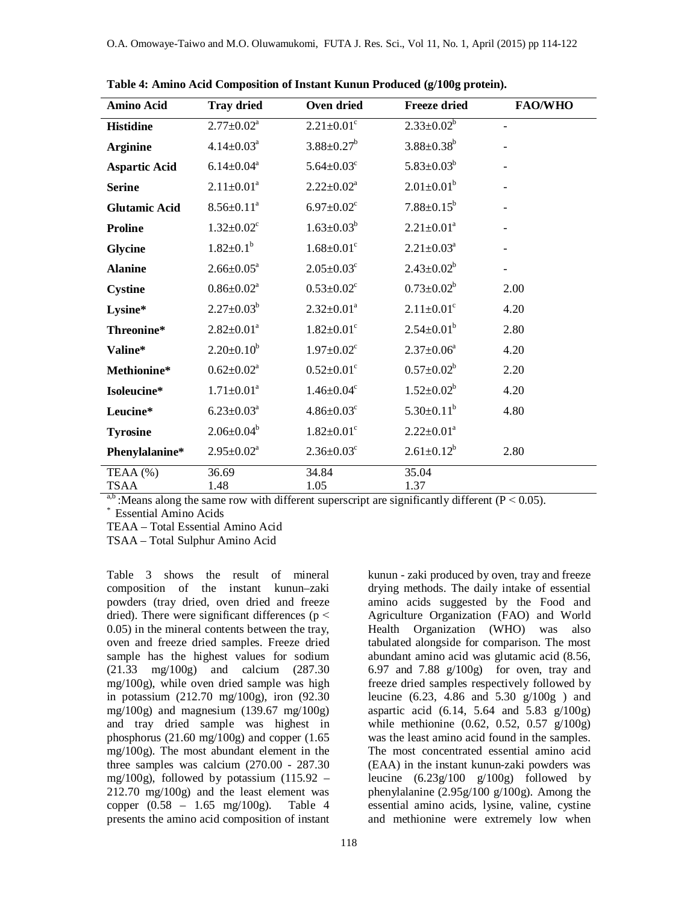| <b>Amino Acid</b>    | <b>Tray dried</b>            | Oven dried                   | <b>Freeze dried</b>          | <b>FAO/WHO</b>           |
|----------------------|------------------------------|------------------------------|------------------------------|--------------------------|
| <b>Histidine</b>     | $2.77 \pm 0.02^a$            | $2.21 \pm 0.01$ <sup>c</sup> | $2.33 \pm 0.02^b$            | $\blacksquare$           |
| <b>Arginine</b>      | $4.14 \pm 0.03^a$            | $3.88 \pm 0.27^b$            | $3.88 \pm 0.38^b$            |                          |
| <b>Aspartic Acid</b> | $6.14 \pm 0.04$ <sup>a</sup> | $5.64 \pm 0.03$ <sup>c</sup> | $5.83 \pm 0.03^b$            |                          |
| <b>Serine</b>        | $2.11 \pm 0.01^a$            | $2.22 \pm 0.02^a$            | $2.01 \pm 0.01^b$            |                          |
| <b>Glutamic Acid</b> | $8.56 \pm 0.11^a$            | $6.97 \pm 0.02$ <sup>c</sup> | $7.88 \pm 0.15^b$            |                          |
| <b>Proline</b>       | $1.32 \pm 0.02$ <sup>c</sup> | $1.63 \pm 0.03^b$            | $2.21 \pm 0.01^a$            |                          |
| Glycine              | $1.82 \pm 0.1^b$             | $1.68 \pm 0.01$ <sup>c</sup> | $2.21 \pm 0.03^a$            |                          |
| <b>Alanine</b>       | $2.66 \pm 0.05^a$            | $2.05 \pm 0.03$ <sup>c</sup> | $2.43 \pm 0.02^b$            | $\overline{\phantom{a}}$ |
| <b>Cystine</b>       | $0.86 \pm 0.02^a$            | $0.53 \pm 0.02$ <sup>c</sup> | $0.73 \pm 0.02^b$            | 2.00                     |
| Lysine*              | $2.27 \pm 0.03^b$            | $2.32 \pm 0.01^a$            | $2.11 \pm 0.01$ <sup>c</sup> | 4.20                     |
| Threonine*           | $2.82 \pm 0.01^a$            | $1.82 \pm 0.01$ <sup>c</sup> | $2.54 \pm 0.01^b$            | 2.80                     |
| Valine*              | $2.20 \pm 0.10^b$            | $1.97 \pm 0.02$ <sup>c</sup> | $2.37 \pm 0.06^a$            | 4.20                     |
| Methionine*          | $0.62 \pm 0.02^a$            | $0.52 \pm 0.01$ <sup>c</sup> | $0.57 \pm 0.02^b$            | 2.20                     |
| Isoleucine*          | $1.71 \pm 0.01^a$            | $1.46 \pm 0.04$ <sup>c</sup> | $1.52 \pm 0.02^b$            | 4.20                     |
| Leucine*             | $6.23 \pm 0.03^a$            | $4.86 \pm 0.03$ <sup>c</sup> | $5.30 \pm 0.11^b$            | 4.80                     |
| <b>Tyrosine</b>      | $2.06 \pm 0.04^b$            | $1.82 \pm 0.01$ <sup>c</sup> | $2.22 \pm 0.01^a$            |                          |
| Phenylalanine*       | $2.95 \pm 0.02^a$            | $2.36 \pm 0.03$ <sup>c</sup> | $2.61 \pm 0.12^b$            | 2.80                     |
| TEAA (%)<br>TSAA     | 36.69<br>1.48                | 34.84<br>1.05                | 35.04<br>1.37                |                          |

**Table 4: Amino Acid Composition of Instant Kunun Produced (g/100g protein).**

<sup>a,b</sup> :Means along the same row with different superscript are significantly different ( $P < 0.05$ ).

\* Essential Amino Acids

TEAA – Total Essential Amino Acid

TSAA – Total Sulphur Amino Acid

Table 3 shows the result of mineral composition of the instant kunun–zaki powders (tray dried, oven dried and freeze dried). There were significant differences ( $p <$ 0.05) in the mineral contents between the tray, oven and freeze dried samples. Freeze dried sample has the highest values for sodium (21.33 mg/100g) and calcium (287.30 mg/100g), while oven dried sample was high in potassium (212.70 mg/100g), iron (92.30 mg/100g) and magnesium (139.67 mg/100g) and tray dried sample was highest in phosphorus (21.60 mg/100g) and copper (1.65 mg/100g). The most abundant element in the three samples was calcium (270.00 - 287.30 mg/100g), followed by potassium (115.92 – 212.70 mg/100g) and the least element was copper (0.58 – 1.65 mg/100g). Table 4 presents the amino acid composition of instant

118

kunun - zaki produced by oven, tray and freeze drying methods. The daily intake of essential amino acids suggested by the Food and Agriculture Organization (FAO) and World Health Organization (WHO) was also tabulated alongside for comparison. The most abundant amino acid was glutamic acid (8.56, 6.97 and 7.88 g/100g) for oven, tray and freeze dried samples respectively followed by leucine (6.23, 4.86 and 5.30 g/100g ) and aspartic acid  $(6.14, 5.64 \text{ and } 5.83 \text{ g}/100 \text{ g})$ while methionine (0.62, 0.52, 0.57 g/100g) was the least amino acid found in the samples. The most concentrated essential amino acid (EAA) in the instant kunun-zaki powders was leucine (6.23g/100 g/100g) followed by phenylalanine (2.95g/100 g/100g). Among the essential amino acids, lysine, valine, cystine and methionine were extremely low when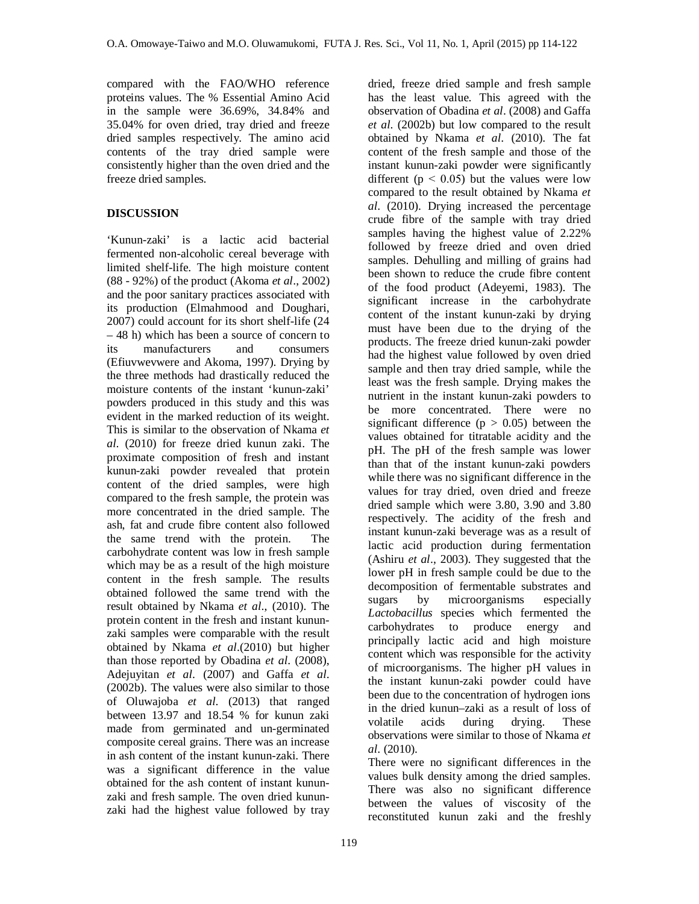compared with the FAO/WHO reference proteins values. The % Essential Amino Acid in the sample were 36.69%, 34.84% and 35.04% for oven dried, tray dried and freeze dried samples respectively. The amino acid contents of the tray dried sample were consistently higher than the oven dried and the freeze dried samples.

## **DISCUSSION**

'Kunun-zaki' is a lactic acid bacterial fermented non-alcoholic cereal beverage with limited shelf-life. The high moisture content (88 - 92%) of the product (Akoma *et al*., 2002) and the poor sanitary practices associated with its production (Elmahmood and Doughari, 2007) could account for its short shelf-life (24 – 48 h) which has been a source of concern to its manufacturers and consumers (Efiuvwevwere and Akoma, 1997). Drying by the three methods had drastically reduced the moisture contents of the instant 'kunun-zaki' powders produced in this study and this was evident in the marked reduction of its weight. This is similar to the observation of Nkama *et al*. (2010) for freeze dried kunun zaki. The proximate composition of fresh and instant kunun-zaki powder revealed that protein content of the dried samples, were high compared to the fresh sample, the protein was more concentrated in the dried sample. The ash, fat and crude fibre content also followed the same trend with the protein. The carbohydrate content was low in fresh sample which may be as a result of the high moisture content in the fresh sample. The results obtained followed the same trend with the result obtained by Nkama *et al*., (2010). The protein content in the fresh and instant kununzaki samples were comparable with the result obtained by Nkama *et al*.(2010) but higher than those reported by Obadina *et al*. (2008), Adejuyitan *et al*. (2007) and Gaffa *et al*. (2002b). The values were also similar to those of Oluwajoba *et al*. (2013) that ranged between 13.97 and 18.54 % for kunun zaki made from germinated and un-germinated composite cereal grains. There was an increase in ash content of the instant kunun-zaki. There was a significant difference in the value obtained for the ash content of instant kununzaki and fresh sample. The oven dried kununzaki had the highest value followed by tray

dried, freeze dried sample and fresh sample has the least value. This agreed with the observation of Obadina *et al*. (2008) and Gaffa *et al*. (2002b) but low compared to the result obtained by Nkama *et al*. (2010). The fat content of the fresh sample and those of the instant kunun-zaki powder were significantly different ( $p < 0.05$ ) but the values were low compared to the result obtained by Nkama *et al*. (2010). Drying increased the percentage crude fibre of the sample with tray dried samples having the highest value of 2.22% followed by freeze dried and oven dried samples. Dehulling and milling of grains had been shown to reduce the crude fibre content of the food product (Adeyemi, 1983). The significant increase in the carbohydrate content of the instant kunun-zaki by drying must have been due to the drying of the products. The freeze dried kunun-zaki powder had the highest value followed by oven dried sample and then tray dried sample, while the least was the fresh sample. Drying makes the nutrient in the instant kunun-zaki powders to be more concentrated. There were no significant difference ( $p > 0.05$ ) between the values obtained for titratable acidity and the pH. The pH of the fresh sample was lower than that of the instant kunun-zaki powders while there was no significant difference in the values for tray dried, oven dried and freeze dried sample which were 3.80, 3.90 and 3.80 respectively. The acidity of the fresh and instant kunun-zaki beverage was as a result of lactic acid production during fermentation (Ashiru *et al*., 2003). They suggested that the lower pH in fresh sample could be due to the decomposition of fermentable substrates and sugars by microorganisms especially *Lactobacillus* species which fermented the carbohydrates to produce energy and principally lactic acid and high moisture content which was responsible for the activity of microorganisms. The higher pH values in the instant kunun-zaki powder could have been due to the concentration of hydrogen ions in the dried kunun–zaki as a result of loss of volatile acids during drying. These observations were similar to those of Nkama *et al*. (2010).

There were no significant differences in the values bulk density among the dried samples. There was also no significant difference between the values of viscosity of the reconstituted kunun zaki and the freshly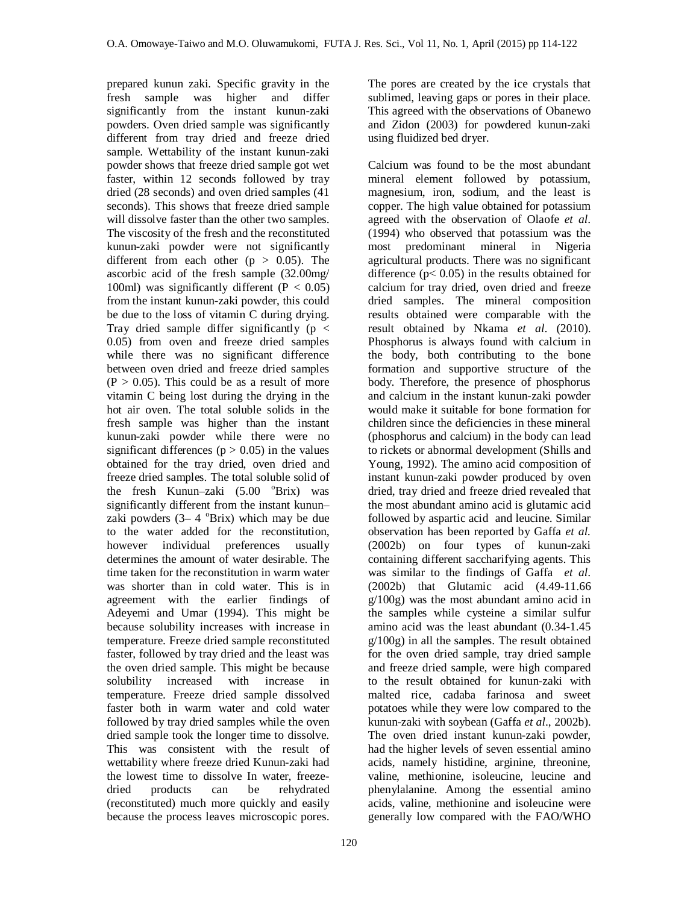prepared kunun zaki. Specific gravity in the fresh sample was higher and differ significantly from the instant kunun-zaki powders. Oven dried sample was significantly different from tray dried and freeze dried sample. Wettability of the instant kunun-zaki powder shows that freeze dried sample got wet faster, within 12 seconds followed by tray dried (28 seconds) and oven dried samples (41 seconds). This shows that freeze dried sample will dissolve faster than the other two samples. The viscosity of the fresh and the reconstituted kunun-zaki powder were not significantly different from each other  $(p > 0.05)$ . The ascorbic acid of the fresh sample (32.00mg/ 100ml) was significantly different  $(P < 0.05)$ from the instant kunun-zaki powder, this could be due to the loss of vitamin C during drying. Tray dried sample differ significantly ( $p <$ 0.05) from oven and freeze dried samples while there was no significant difference between oven dried and freeze dried samples  $(P > 0.05)$ . This could be as a result of more vitamin C being lost during the drying in the hot air oven. The total soluble solids in the fresh sample was higher than the instant kunun-zaki powder while there were no significant differences ( $p > 0.05$ ) in the values obtained for the tray dried, oven dried and freeze dried samples. The total soluble solid of the fresh Kunun–zaki  $(5.00 \text{°Brix})$  was significantly different from the instant kunun– zaki powders  $(3 - 4)$ <sup>o</sup>Brix) which may be due to the water added for the reconstitution, however individual preferences usually determines the amount of water desirable. The time taken for the reconstitution in warm water was shorter than in cold water. This is in agreement with the earlier findings of Adeyemi and Umar (1994). This might be because solubility increases with increase in temperature. Freeze dried sample reconstituted faster, followed by tray dried and the least was the oven dried sample. This might be because solubility increased with increase in temperature. Freeze dried sample dissolved faster both in warm water and cold water followed by tray dried samples while the oven dried sample took the longer time to dissolve. This was consistent with the result of wettability where freeze dried Kunun-zaki had the lowest time to dissolve In water, freezedried products can be rehydrated (reconstituted) much more quickly and easily because the process leaves microscopic pores.

The pores are created by the ice crystals that sublimed, leaving gaps or pores in their place. This agreed with the observations of Obanewo and Zidon (2003) for powdered kunun-zaki using fluidized bed dryer.

Calcium was found to be the most abundant mineral element followed by potassium, magnesium, iron, sodium, and the least is copper. The high value obtained for potassium agreed with the observation of Olaofe *et al*. (1994) who observed that potassium was the most predominant mineral in Nigeria agricultural products. There was no significant difference ( $p$ < 0.05) in the results obtained for calcium for tray dried, oven dried and freeze dried samples. The mineral composition results obtained were comparable with the result obtained by Nkama *et al*. (2010). Phosphorus is always found with calcium in the body, both contributing to the bone formation and supportive structure of the body. Therefore, the presence of phosphorus and calcium in the instant kunun-zaki powder would make it suitable for bone formation for children since the deficiencies in these mineral (phosphorus and calcium) in the body can lead to rickets or abnormal development (Shills and Young, 1992). The amino acid composition of instant kunun-zaki powder produced by oven dried, tray dried and freeze dried revealed that the most abundant amino acid is glutamic acid followed by aspartic acid and leucine. Similar observation has been reported by Gaffa *et al.* (2002b) on four types of kunun-zaki containing different saccharifying agents. This was similar to the findings of Gaffa *et al*. (2002b) that Glutamic acid (4.49-11.66 g/100g) was the most abundant amino acid in the samples while cysteine a similar sulfur amino acid was the least abundant (0.34-1.45 g/100g) in all the samples. The result obtained for the oven dried sample, tray dried sample and freeze dried sample, were high compared to the result obtained for kunun-zaki with malted rice, cadaba farinosa and sweet potatoes while they were low compared to the kunun-zaki with soybean (Gaffa *et al*., 2002b). The oven dried instant kunun-zaki powder, had the higher levels of seven essential amino acids, namely histidine, arginine, threonine, valine, methionine, isoleucine, leucine and phenylalanine. Among the essential amino acids, valine, methionine and isoleucine were generally low compared with the FAO/WHO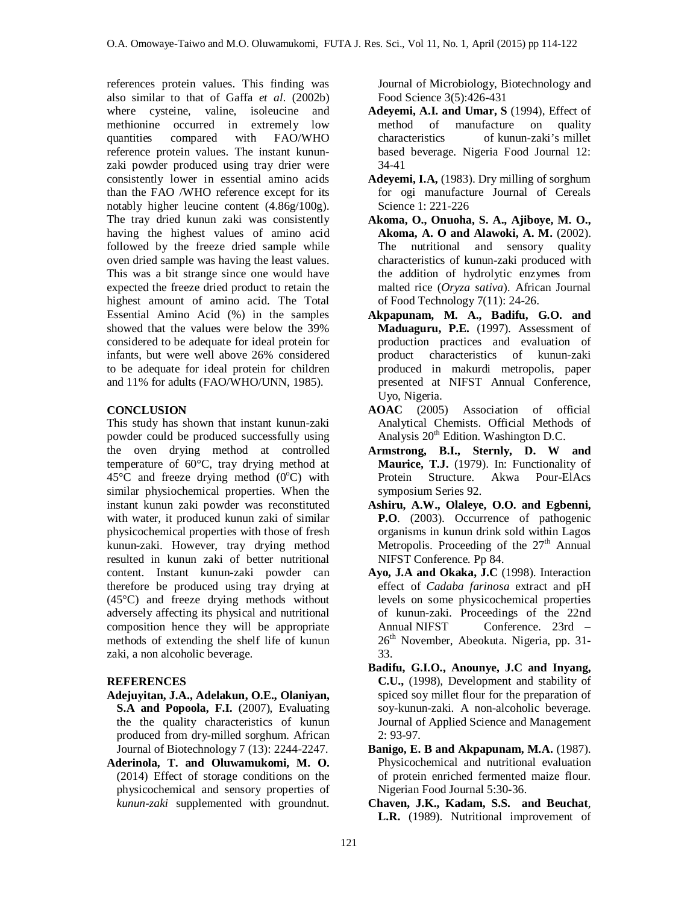references protein values. This finding was also similar to that of Gaffa *et al*. (2002b) where cysteine, valine, isoleucine and methionine occurred in extremely low quantities compared with FAO/WHO reference protein values. The instant kununzaki powder produced using tray drier were consistently lower in essential amino acids than the FAO /WHO reference except for its notably higher leucine content (4.86g/100g). The tray dried kunun zaki was consistently having the highest values of amino acid followed by the freeze dried sample while oven dried sample was having the least values. This was a bit strange since one would have expected the freeze dried product to retain the highest amount of amino acid. The Total Essential Amino Acid (%) in the samples showed that the values were below the 39% considered to be adequate for ideal protein for infants, but were well above 26% considered to be adequate for ideal protein for children and 11% for adults (FAO/WHO/UNN, 1985).

## **CONCLUSION**

This study has shown that instant kunun-zaki powder could be produced successfully using the oven drying method at controlled temperature of 60°C, tray drying method at  $45^{\circ}$ C and freeze drying method (0 $^{\circ}$ C) with similar physiochemical properties. When the instant kunun zaki powder was reconstituted with water, it produced kunun zaki of similar physicochemical properties with those of fresh kunun-zaki. However, tray drying method resulted in kunun zaki of better nutritional content. Instant kunun-zaki powder can therefore be produced using tray drying at (45°C) and freeze drying methods without adversely affecting its physical and nutritional composition hence they will be appropriate methods of extending the shelf life of kunun zaki, a non alcoholic beverage.

## **REFERENCES**

- **Adejuyitan, J.A., Adelakun, O.E., Olaniyan, S.A and Popoola, F.I.** (2007), Evaluating the the quality characteristics of kunun produced from dry-milled sorghum. African Journal of Biotechnology 7 (13): 2244-2247.
- **Aderinola, T. and Oluwamukomi, M. O.** (2014) Effect of storage conditions on the physicochemical and sensory properties of *kunun-zaki* supplemented with groundnut.

Journal of Microbiology, Biotechnology and Food Science 3(5):426-431

- **Adeyemi, A.I. and Umar, S** (1994), Effect of method of manufacture on quality characteristics of kunun-zaki's millet based beverage. Nigeria Food Journal 12: 34-41
- **Adeyemi, I.A,** (1983). Dry milling of sorghum for ogi manufacture Journal of Cereals Science 1: 221-226
- **Akoma, O., Onuoha, S. A., Ajiboye, M. O., Akoma, A. O and Alawoki, A. M.** (2002). The nutritional and sensory quality characteristics of kunun-zaki produced with the addition of hydrolytic enzymes from malted rice (*Oryza sativa*). African Journal of Food Technology 7(11): 24-26.
- **Akpapunam, M. A., Badifu, G.O. and Maduaguru, P.E.** (1997). Assessment of production practices and evaluation of product characteristics of kunun-zaki produced in makurdi metropolis, paper presented at NIFST Annual Conference, Uyo, Nigeria.
- **AOAC** (2005) Association of official Analytical Chemists. Official Methods of Analysis  $20<sup>th</sup>$  Edition. Washington D.C.
- **Armstrong, B.I., Sternly, D. W and Maurice, T.J.** (1979). In: Functionality of Protein Structure. Akwa Pour-ElAcs symposium Series 92.
- **Ashiru, A.W., Olaleye, O.O. and Egbenni, P.O**. (2003). Occurrence of pathogenic organisms in kunun drink sold within Lagos Metropolis. Proceeding of the  $27<sup>th</sup>$  Annual NIFST Conference. Pp 84.
- **Ayo, J.A and Okaka, J.C** (1998). Interaction effect of *Cadaba farinosa* extract and pH levels on some physicochemical properties of kunun-zaki. Proceedings of the 22nd Annual NIFST Conference. 23rd –  $26<sup>th</sup>$  November, Abeokuta. Nigeria, pp. 31-33.
- **Badifu, G.I.O., Anounye, J.C and Inyang, C.U.,** (1998), Development and stability of spiced soy millet flour for the preparation of soy-kunun-zaki. A non-alcoholic beverage. Journal of Applied Science and Management 2: 93-97.
- **Banigo, E. B and Akpapunam, M.A.** (1987). Physicochemical and nutritional evaluation of protein enriched fermented maize flour. Nigerian Food Journal 5:30-36.
- **Chaven, J.K., Kadam, S.S. and Beuchat**, **L.R.** (1989). Nutritional improvement of